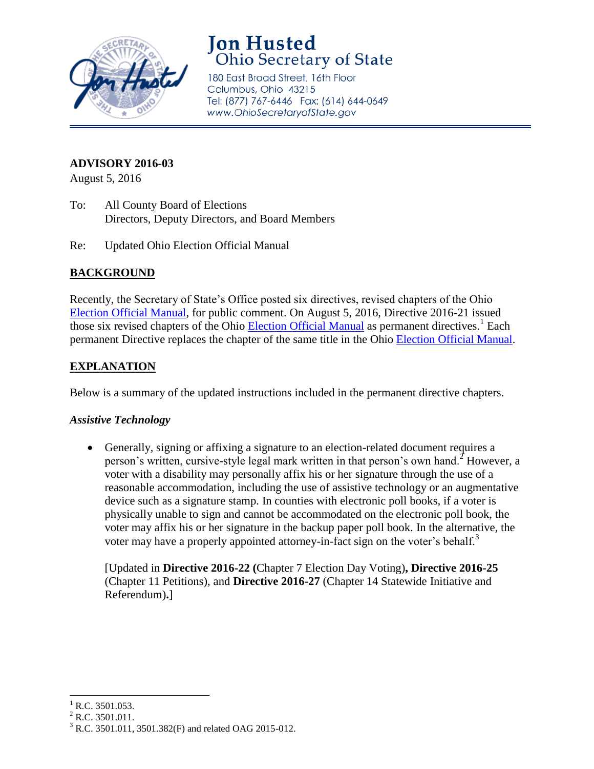

# **Jon Husted Ohio Secretary of State**

180 East Broad Street, 16th Floor Columbus, Ohio 43215 Tel: (877) 767-6446 Fax: (614) 644-0649 www.OhioSecretaryofState.gov

# **ADVISORY 2016-03**

August 5, 2016

- To: All County Board of Elections Directors, Deputy Directors, and Board Members
- Re: Updated Ohio Election Official Manual

## **BACKGROUND**

Recently, the Secretary of State's Office posted six directives, revised chapters of the Ohio [Election Official Manual,](http://www.sos.state.oh.us/SOS/Upload/elections/directives/2016/Dir2016-21_EOM_2016-08.pdf) for public comment. On August 5, 2016, Directive 2016-21 issued those six revised chapters of the Ohio **Election Official Manual** as permanent directives.<sup>1</sup> Each permanent Directive replaces the chapter of the same title in the Ohio [Election Official Manual.](http://www.sos.state.oh.us/SOS/Upload/elections/directives/2016/Dir2016-21_EOM_2016-08.pdf)

# **EXPLANATION**

Below is a summary of the updated instructions included in the permanent directive chapters.

#### *Assistive Technology*

 Generally, signing or affixing a signature to an election-related document requires a person's written, cursive-style legal mark written in that person's own hand.<sup>2</sup> However, a voter with a disability may personally affix his or her signature through the use of a reasonable accommodation, including the use of assistive technology or an augmentative device such as a signature stamp. In counties with electronic poll books, if a voter is physically unable to sign and cannot be accommodated on the electronic poll book, the voter may affix his or her signature in the backup paper poll book. In the alternative, the voter may have a properly appointed attorney-in-fact sign on the voter's behalf.<sup>3</sup>

[Updated in **Directive 2016-22 (**Chapter 7 Election Day Voting)**, Directive 2016-25**  (Chapter 11 Petitions), and **Directive 2016-27** (Chapter 14 Statewide Initiative and Referendum)**.**]

 $\overline{\phantom{a}}$ 

R.C. 3501.053.

 $2$  R.C. 3501.011.

<sup>3</sup> R.C. 3501.011, 3501.382(F) and related OAG 2015-012.